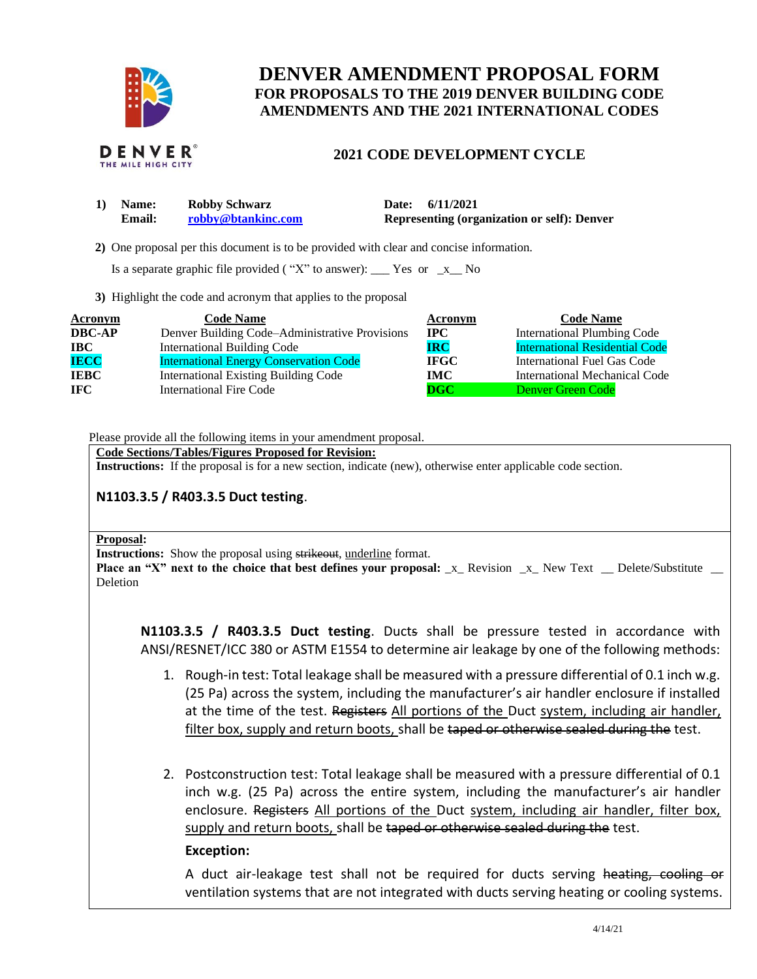

# **DENVER AMENDMENT PROPOSAL FORM FOR PROPOSALS TO THE 2019 DENVER BUILDING CODE AMENDMENTS AND THE 2021 INTERNATIONAL CODES**

### **2021 CODE DEVELOPMENT CYCLE**

| 1) Name:      | <b>Robby Schwarz</b> | Date: 6/11/2021                                    |  |
|---------------|----------------------|----------------------------------------------------|--|
| <b>Email:</b> | robby@btankinc.com   | <b>Representing (organization or self): Denver</b> |  |

 **2)** One proposal per this document is to be provided with clear and concise information.

Is a separate graphic file provided ("X" to answer):  $\Gamma$  Yes or  $\Gamma$  No

**3)** Highlight the code and acronym that applies to the proposal

| <b>Acronym</b> | <b>Code Name</b>                               | Acronym      | <b>Code Name</b>                      |
|----------------|------------------------------------------------|--------------|---------------------------------------|
| <b>DBC-AP</b>  | Denver Building Code–Administrative Provisions | $_{\rm IPC}$ | <b>International Plumbing Code</b>    |
| $\bf IBC$      | <b>International Building Code</b>             | <b>IRC</b>   | <b>International Residential Code</b> |
| <b>IECC</b>    | <b>International Energy Conservation Code</b>  | <b>IFGC</b>  | International Fuel Gas Code           |
| <b>IEBC</b>    | <b>International Existing Building Code</b>    | IMC          | International Mechanical Code         |
| <b>IFC</b>     | International Fire Code                        | $\bf DGC$    | <b>Denver Green Code</b>              |

Please provide all the following items in your amendment proposal.

**Code Sections/Tables/Figures Proposed for Revision: Instructions:** If the proposal is for a new section, indicate (new), otherwise enter applicable code section.

## **N1103.3.5 / R403.3.5 Duct testing**.

#### **Proposal:**

**Instructions:** Show the proposal using strikeout, underline format.

**Place an "X" next to the choice that best defines your proposal:** x Revision x New Text Delete/Substitute Deletion

**N1103.3.5 / R403.3.5 Duct testing**. Ducts shall be pressure tested in accordance with ANSI/RESNET/ICC 380 or ASTM E1554 to determine air leakage by one of the following methods:

- 1. Rough-in test: Total leakage shall be measured with a pressure differential of 0.1 inch w.g. (25 Pa) across the system, including the manufacturer's air handler enclosure if installed at the time of the test. Registers All portions of the Duct system, including air handler, filter box, supply and return boots, shall be taped or otherwise sealed during the test.
- 2. Postconstruction test: Total leakage shall be measured with a pressure differential of 0.1 inch w.g. (25 Pa) across the entire system, including the manufacturer's air handler enclosure. Registers All portions of the Duct system, including air handler, filter box, supply and return boots, shall be taped or otherwise sealed during the test.

### **Exception:**

A duct air-leakage test shall not be required for ducts serving heating, cooling or ventilation systems that are not integrated with ducts serving heating or cooling systems.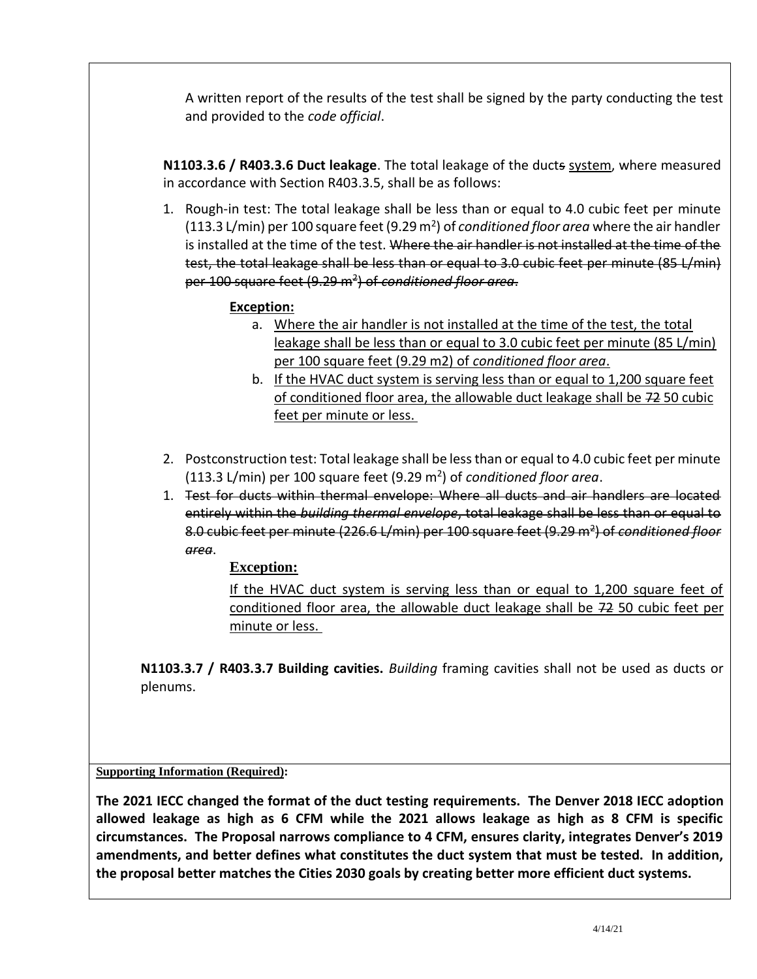A written report of the results of the test shall be signed by the party conducting the test and provided to the *code official*.

**N1103.3.6 / R403.3.6 Duct leakage**. The total leakage of the ducts system, where measured in accordance with Section R403.3.5, shall be as follows:

1. Rough-in test: The total leakage shall be less than or equal to 4.0 cubic feet per minute (113.3 L/min) per 100 square feet (9.29 m<sup>2</sup>) of *conditioned floor area* where the air handler is installed at the time of the test. Where the air handler is not installed at the time of the test, the total leakage shall be less than or equal to 3.0 cubic feet per minute (85 L/min) per 100 square feet (9.29 m<sup>2</sup> ) of *conditioned floor area*.

## **Exception:**

- a. Where the air handler is not installed at the time of the test, the total leakage shall be less than or equal to 3.0 cubic feet per minute (85 L/min) per 100 square feet (9.29 m2) of *conditioned floor area*.
- b. If the HVAC duct system is serving less than or equal to 1,200 square feet of conditioned floor area, the allowable duct leakage shall be 72 50 cubic feet per minute or less.
- 2. Postconstruction test: Total leakage shall be less than or equal to 4.0 cubic feet per minute (113.3 L/min) per 100 square feet (9.29 m<sup>2</sup> ) of *conditioned floor area*.
- 1. Test for ducts within thermal envelope: Where all ducts and air handlers are located entirely within the *building thermal envelope*, total leakage shall be less than or equal to 8.0 cubic feet per minute (226.6 L/min) per 100 square feet (9.29 m<sup>2</sup>) of *conditioned floor area*.

## **Exception:**

If the HVAC duct system is serving less than or equal to 1,200 square feet of conditioned floor area, the allowable duct leakage shall be 72 50 cubic feet per minute or less.

**N1103.3.7 / R403.3.7 Building cavities.** *Building* framing cavities shall not be used as ducts or plenums.

## **Supporting Information (Required):**

**The 2021 IECC changed the format of the duct testing requirements. The Denver 2018 IECC adoption allowed leakage as high as 6 CFM while the 2021 allows leakage as high as 8 CFM is specific circumstances. The Proposal narrows compliance to 4 CFM, ensures clarity, integrates Denver's 2019 amendments, and better defines what constitutes the duct system that must be tested. In addition, the proposal better matches the Cities 2030 goals by creating better more efficient duct systems.**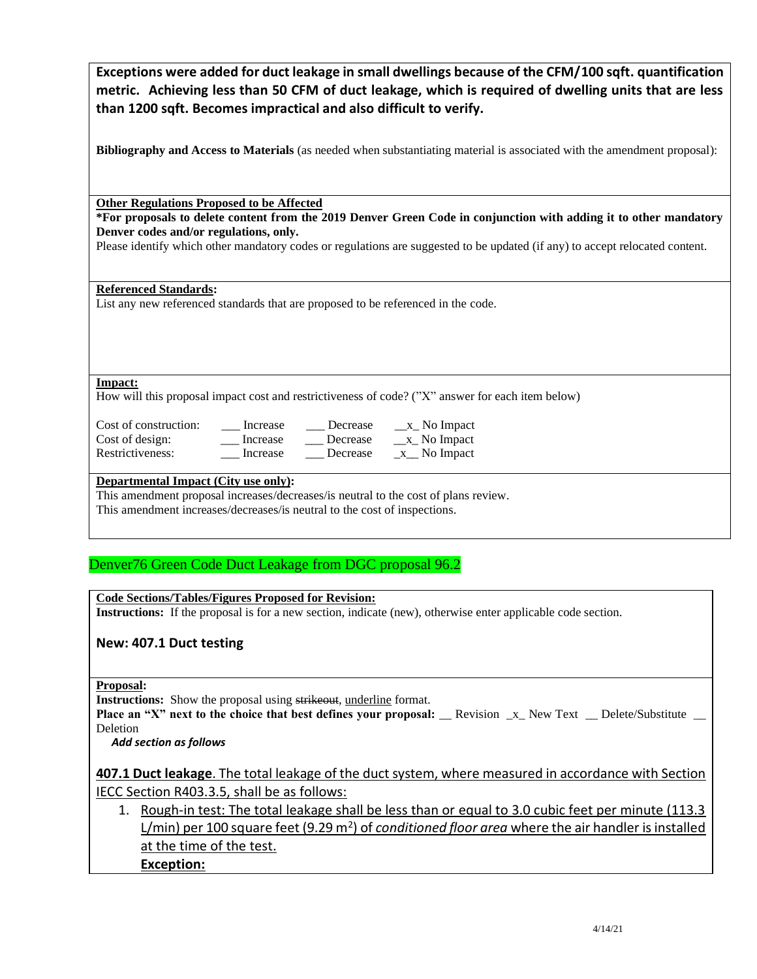| Exceptions were added for duct leakage in small dwellings because of the CFM/100 sqft. quantification |
|-------------------------------------------------------------------------------------------------------|
| metric. Achieving less than 50 CFM of duct leakage, which is required of dwelling units that are less |
| than 1200 sqft. Becomes impractical and also difficult to verify.                                     |

**Bibliography and Access to Materials** (as needed when substantiating material is associated with the amendment proposal):

**Other Regulations Proposed to be Affected**

**\*For proposals to delete content from the 2019 Denver Green Code in conjunction with adding it to other mandatory Denver codes and/or regulations, only.**

Please identify which other mandatory codes or regulations are suggested to be updated (if any) to accept relocated content.

#### **Referenced Standards:**

List any new referenced standards that are proposed to be referenced in the code.

**Impact:**

How will this proposal impact cost and restrictiveness of code? ("X" answer for each item below)

| Cost of construction: | Increase | Decrease | $x$ No Impact |
|-----------------------|----------|----------|---------------|
| Cost of design:       | Increase | Decrease | $x$ No Impact |
| Restrictiveness:      | Increase | Decrease | No Impact     |

#### **Departmental Impact (City use only):**

This amendment proposal increases/decreases/is neutral to the cost of plans review.

This amendment increases/decreases/is neutral to the cost of inspections.

### Denver76 Green Code Duct Leakage from DGC proposal 96.2

**Code Sections/Tables/Figures Proposed for Revision: Instructions:** If the proposal is for a new section, indicate (new), otherwise enter applicable code section.

### **New: 407.1 Duct testing**

**Proposal:**

**Instructions:** Show the proposal using strikeout, underline format.

**Place an "X" next to the choice that best defines your proposal:** \_\_ Revision \_x\_ New Text \_\_ Delete/Substitute Deletion

 *Add section as follows* 

**407.1 Duct leakage**. The total leakage of the duct system, where measured in accordance with Section IECC Section R403.3.5, shall be as follows:

1. Rough-in test: The total leakage shall be less than or equal to 3.0 cubic feet per minute (113.3 L/min) per 100 square feet (9.29 m<sup>2</sup>) of *conditioned floor area* where the air handler is installed at the time of the test. **Exception:**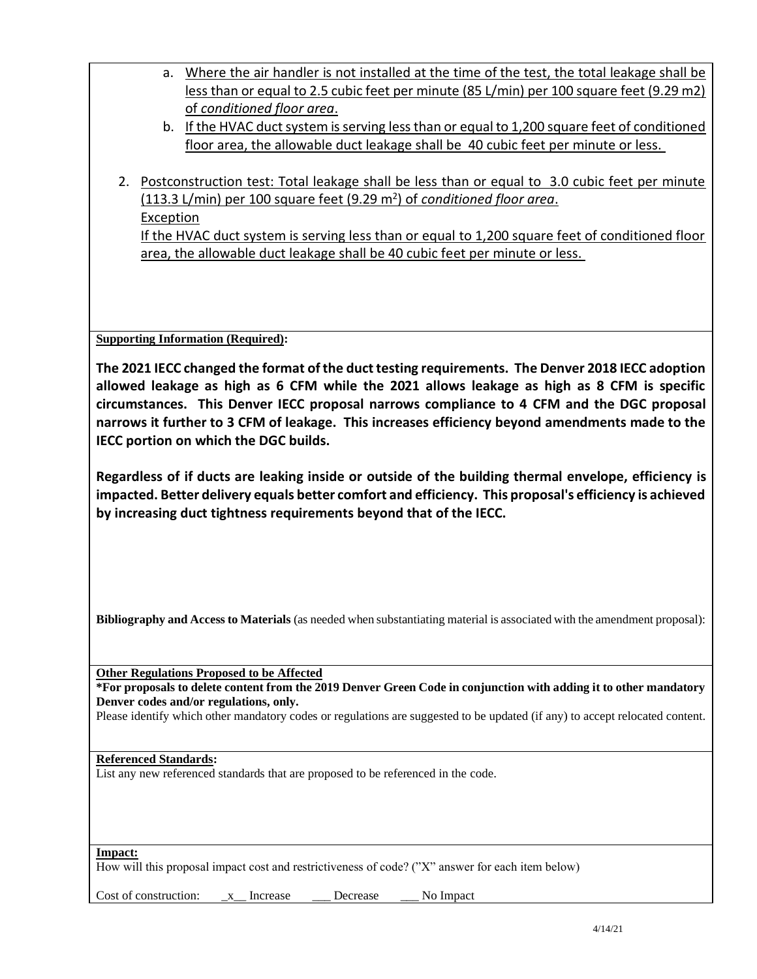| a. Where the air handler is not installed at the time of the test, the total leakage shall be |
|-----------------------------------------------------------------------------------------------|
| less than or equal to 2.5 cubic feet per minute (85 L/min) per 100 square feet (9.29 m2)      |
| of conditioned floor area.                                                                    |

- b. If the HVAC duct system is serving less than or equal to 1,200 square feet of conditioned floor area, the allowable duct leakage shall be 40 cubic feet per minute or less.
- 2. Postconstruction test: Total leakage shall be less than or equal to 3.0 cubic feet per minute (113.3 L/min) per 100 square feet (9.29 m<sup>2</sup> ) of *conditioned floor area*. Exception If the HVAC duct system is serving less than or equal to 1,200 square feet of conditioned floor area, the allowable duct leakage shall be 40 cubic feet per minute or less.

**Supporting Information (Required):** 

**The 2021 IECC changed the format of the duct testing requirements. The Denver 2018 IECC adoption allowed leakage as high as 6 CFM while the 2021 allows leakage as high as 8 CFM is specific circumstances. This Denver IECC proposal narrows compliance to 4 CFM and the DGC proposal narrows it further to 3 CFM of leakage. This increases efficiency beyond amendments made to the IECC portion on which the DGC builds.** 

**Regardless of if ducts are leaking inside or outside of the building thermal envelope, efficiency is impacted. Better delivery equals better comfort and efficiency. This proposal's efficiency is achieved by increasing duct tightness requirements beyond that of the IECC.**

**Bibliography and Access to Materials** (as needed when substantiating material is associated with the amendment proposal):

**Other Regulations Proposed to be Affected**

**\*For proposals to delete content from the 2019 Denver Green Code in conjunction with adding it to other mandatory Denver codes and/or regulations, only.**

Please identify which other mandatory codes or regulations are suggested to be updated (if any) to accept relocated content.

#### **Referenced Standards:**

List any new referenced standards that are proposed to be referenced in the code.

**Impact:**

How will this proposal impact cost and restrictiveness of code? ("X" answer for each item below)

Cost of construction:  $\bar{x}$  Increase Decrease No Impact